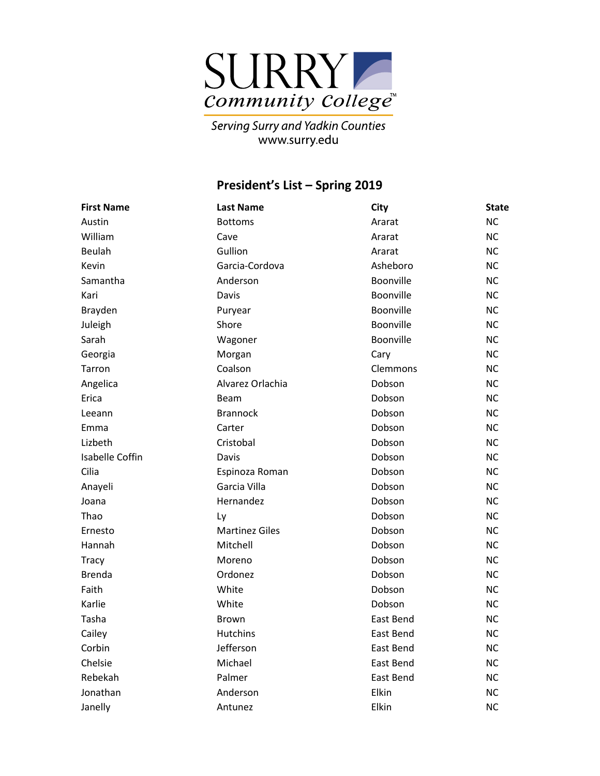

Serving Surry and Yadkin Counties<br>www.surry.edu

## **President's List – Spring 2019**

| <b>First Name</b> | <b>Last Name</b>      | <b>City</b>      | <b>State</b> |
|-------------------|-----------------------|------------------|--------------|
| Austin            | <b>Bottoms</b>        | Ararat           | <b>NC</b>    |
| William           | Cave                  | Ararat           | <b>NC</b>    |
| Beulah            | Gullion               | Ararat           | <b>NC</b>    |
| Kevin             | Garcia-Cordova        | Asheboro         | <b>NC</b>    |
| Samantha          | Anderson              | <b>Boonville</b> | <b>NC</b>    |
| Kari              | Davis                 | Boonville        | <b>NC</b>    |
| Brayden           | Puryear               | Boonville        | <b>NC</b>    |
| Juleigh           | Shore                 | Boonville        | <b>NC</b>    |
| Sarah             | Wagoner               | Boonville        | <b>NC</b>    |
| Georgia           | Morgan                | Cary             | <b>NC</b>    |
| Tarron            | Coalson               | Clemmons         | <b>NC</b>    |
| Angelica          | Alvarez Orlachia      | Dobson           | <b>NC</b>    |
| Erica             | Beam                  | Dobson           | <b>NC</b>    |
| Leeann            | <b>Brannock</b>       | Dobson           | <b>NC</b>    |
| Emma              | Carter                | Dobson           | <b>NC</b>    |
| Lizbeth           | Cristobal             | Dobson           | <b>NC</b>    |
| Isabelle Coffin   | Davis                 | Dobson           | <b>NC</b>    |
| Cilia             | Espinoza Roman        | Dobson           | <b>NC</b>    |
| Anayeli           | Garcia Villa          | Dobson           | <b>NC</b>    |
| Joana             | Hernandez             | Dobson           | <b>NC</b>    |
| Thao              | Ly                    | Dobson           | <b>NC</b>    |
| Ernesto           | <b>Martinez Giles</b> | Dobson           | <b>NC</b>    |
| Hannah            | Mitchell              | Dobson           | <b>NC</b>    |
| <b>Tracy</b>      | Moreno                | Dobson           | <b>NC</b>    |
| <b>Brenda</b>     | Ordonez               | Dobson           | <b>NC</b>    |
| Faith             | White                 | Dobson           | <b>NC</b>    |
| Karlie            | White                 | Dobson           | <b>NC</b>    |
| Tasha             | <b>Brown</b>          | East Bend        | <b>NC</b>    |
| Cailey            | <b>Hutchins</b>       | East Bend        | <b>NC</b>    |
| Corbin            | Jefferson             | East Bend        | <b>NC</b>    |
| Chelsie           | Michael               | East Bend        | <b>NC</b>    |
| Rebekah           | Palmer                | East Bend        | <b>NC</b>    |
| Jonathan          | Anderson              | Elkin            | <b>NC</b>    |
| Janelly           | Antunez               | Elkin            | <b>NC</b>    |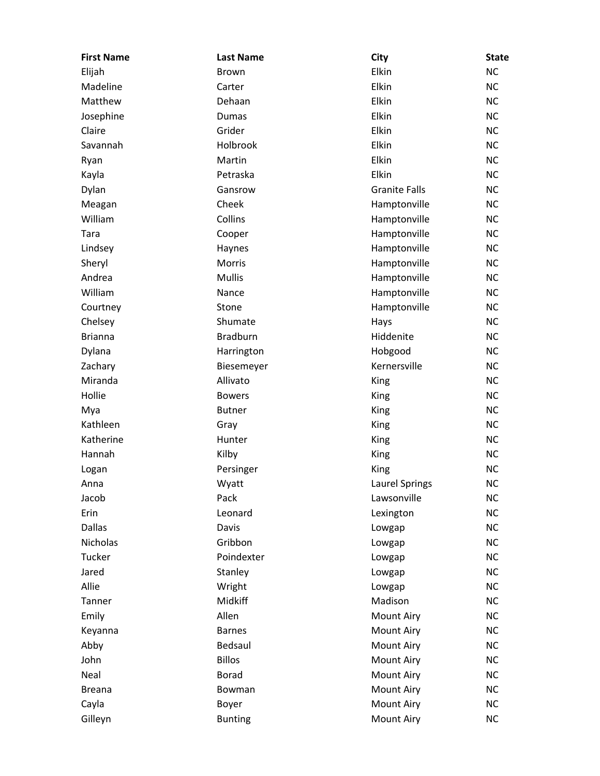| <b>First Name</b> | <b>Last Name</b> | City                  | <b>State</b> |
|-------------------|------------------|-----------------------|--------------|
| Elijah            | <b>Brown</b>     | Elkin                 | <b>NC</b>    |
| Madeline          | Carter           | Elkin                 | <b>NC</b>    |
| Matthew           | Dehaan           | Elkin                 | <b>NC</b>    |
| Josephine         | Dumas            | Elkin                 | <b>NC</b>    |
| Claire            | Grider           | Elkin                 | <b>NC</b>    |
| Savannah          | Holbrook         | Elkin                 | <b>NC</b>    |
| Ryan              | Martin           | Elkin                 | <b>NC</b>    |
| Kayla             | Petraska         | Elkin                 | <b>NC</b>    |
| Dylan             | Gansrow          | <b>Granite Falls</b>  | <b>NC</b>    |
| Meagan            | Cheek            | Hamptonville          | <b>NC</b>    |
| William           | Collins          | Hamptonville          | <b>NC</b>    |
| Tara              | Cooper           | Hamptonville          | <b>NC</b>    |
| Lindsey           | Haynes           | Hamptonville          | <b>NC</b>    |
| Sheryl            | Morris           | Hamptonville          | <b>NC</b>    |
| Andrea            | <b>Mullis</b>    | Hamptonville          | <b>NC</b>    |
| William           | Nance            | Hamptonville          | <b>NC</b>    |
| Courtney          | Stone            | Hamptonville          | <b>NC</b>    |
| Chelsey           | Shumate          | Hays                  | <b>NC</b>    |
| <b>Brianna</b>    | <b>Bradburn</b>  | Hiddenite             | <b>NC</b>    |
| Dylana            | Harrington       | Hobgood               | <b>NC</b>    |
| Zachary           | Biesemeyer       | Kernersville          | <b>NC</b>    |
| Miranda           | Allivato         | King                  | <b>NC</b>    |
| Hollie            | <b>Bowers</b>    | King                  | <b>NC</b>    |
| Mya               | <b>Butner</b>    | King                  | <b>NC</b>    |
| Kathleen          | Gray             | King                  | <b>NC</b>    |
| Katherine         | Hunter           | King                  | <b>NC</b>    |
| Hannah            | Kilby            | King                  | <b>NC</b>    |
| Logan             | Persinger        | King                  | <b>NC</b>    |
| Anna              | Wyatt            | <b>Laurel Springs</b> | <b>NC</b>    |
| Jacob             | Pack             | Lawsonville           | <b>NC</b>    |
| Erin              | Leonard          | Lexington             | <b>NC</b>    |
| <b>Dallas</b>     | Davis            | Lowgap                | <b>NC</b>    |
| <b>Nicholas</b>   | Gribbon          | Lowgap                | NC           |
| Tucker            | Poindexter       | Lowgap                | <b>NC</b>    |
| Jared             | Stanley          | Lowgap                | <b>NC</b>    |
| Allie             | Wright           | Lowgap                | NC           |
| Tanner            | Midkiff          | Madison               | NC           |
| Emily             | Allen            | <b>Mount Airy</b>     | <b>NC</b>    |
| Keyanna           | <b>Barnes</b>    | <b>Mount Airy</b>     | <b>NC</b>    |
| Abby              | Bedsaul          | <b>Mount Airy</b>     | <b>NC</b>    |
| John              | <b>Billos</b>    | Mount Airy            | NC           |
| Neal              | <b>Borad</b>     | <b>Mount Airy</b>     | <b>NC</b>    |
| <b>Breana</b>     | Bowman           | Mount Airy            | <b>NC</b>    |
| Cayla             | Boyer            | <b>Mount Airy</b>     | NC           |
| Gilleyn           | <b>Bunting</b>   | <b>Mount Airy</b>     | <b>NC</b>    |
|                   |                  |                       |              |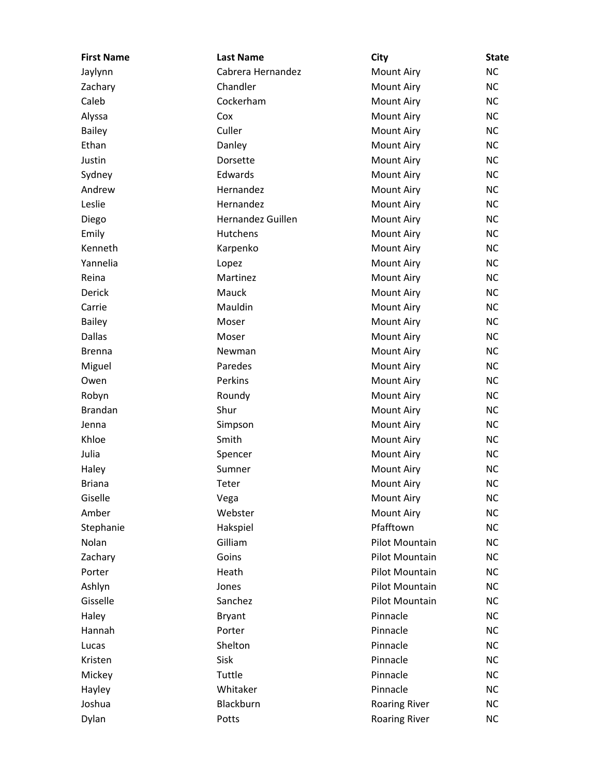| <b>First Name</b> | <b>Last Name</b>  | City                 | <b>State</b> |
|-------------------|-------------------|----------------------|--------------|
| Jaylynn           | Cabrera Hernandez | <b>Mount Airy</b>    | <b>NC</b>    |
| Zachary           | Chandler          | <b>Mount Airy</b>    | <b>NC</b>    |
| Caleb             | Cockerham         | Mount Airy           | <b>NC</b>    |
| Alyssa            | Cox               | <b>Mount Airy</b>    | <b>NC</b>    |
| <b>Bailey</b>     | Culler            | <b>Mount Airy</b>    | <b>NC</b>    |
| Ethan             | Danley            | Mount Airy           | <b>NC</b>    |
| Justin            | Dorsette          | <b>Mount Airy</b>    | <b>NC</b>    |
| Sydney            | Edwards           | <b>Mount Airy</b>    | <b>NC</b>    |
| Andrew            | Hernandez         | <b>Mount Airy</b>    | <b>NC</b>    |
| Leslie            | Hernandez         | Mount Airy           | <b>NC</b>    |
| Diego             | Hernandez Guillen | <b>Mount Airy</b>    | <b>NC</b>    |
| Emily             | Hutchens          | <b>Mount Airy</b>    | <b>NC</b>    |
| Kenneth           | Karpenko          | <b>Mount Airy</b>    | <b>NC</b>    |
| Yannelia          | Lopez             | Mount Airy           | <b>NC</b>    |
| Reina             | Martinez          | <b>Mount Airy</b>    | <b>NC</b>    |
| Derick            | Mauck             | <b>Mount Airy</b>    | <b>NC</b>    |
| Carrie            | Mauldin           | <b>Mount Airy</b>    | <b>NC</b>    |
| <b>Bailey</b>     | Moser             | <b>Mount Airy</b>    | <b>NC</b>    |
| <b>Dallas</b>     | Moser             | <b>Mount Airy</b>    | <b>NC</b>    |
| <b>Brenna</b>     | Newman            | <b>Mount Airy</b>    | <b>NC</b>    |
| Miguel            | Paredes           | <b>Mount Airy</b>    | <b>NC</b>    |
| Owen              | Perkins           | <b>Mount Airy</b>    | <b>NC</b>    |
| Robyn             | Roundy            | Mount Airy           | <b>NC</b>    |
| <b>Brandan</b>    | Shur              | <b>Mount Airy</b>    | <b>NC</b>    |
| Jenna             | Simpson           | <b>Mount Airy</b>    | <b>NC</b>    |
| Khloe             | Smith             | <b>Mount Airy</b>    | <b>NC</b>    |
| Julia             | Spencer           | <b>Mount Airy</b>    | <b>NC</b>    |
| Haley             | Sumner            | <b>Mount Airy</b>    | <b>NC</b>    |
| <b>Briana</b>     | Teter             | <b>Mount Airy</b>    | <b>NC</b>    |
| Giselle           | Vega              | <b>Mount Airy</b>    | <b>NC</b>    |
| Amber             | Webster           | <b>Mount Airy</b>    | <b>NC</b>    |
| Stephanie         | Hakspiel          | Pfafftown            | <b>NC</b>    |
| Nolan             | Gilliam           | Pilot Mountain       | <b>NC</b>    |
| Zachary           | Goins             | Pilot Mountain       | <b>NC</b>    |
| Porter            | Heath             | Pilot Mountain       | <b>NC</b>    |
| Ashlyn            | Jones             | Pilot Mountain       | <b>NC</b>    |
| Gisselle          | Sanchez           | Pilot Mountain       | <b>NC</b>    |
| Haley             | <b>Bryant</b>     | Pinnacle             | <b>NC</b>    |
| Hannah            | Porter            | Pinnacle             | <b>NC</b>    |
| Lucas             | Shelton           | Pinnacle             | <b>NC</b>    |
| Kristen           | Sisk              | Pinnacle             | <b>NC</b>    |
| Mickey            | Tuttle            | Pinnacle             | <b>NC</b>    |
| Hayley            | Whitaker          | Pinnacle             | <b>NC</b>    |
| Joshua            | Blackburn         | <b>Roaring River</b> | <b>NC</b>    |
| Dylan             | Potts             | <b>Roaring River</b> | <b>NC</b>    |